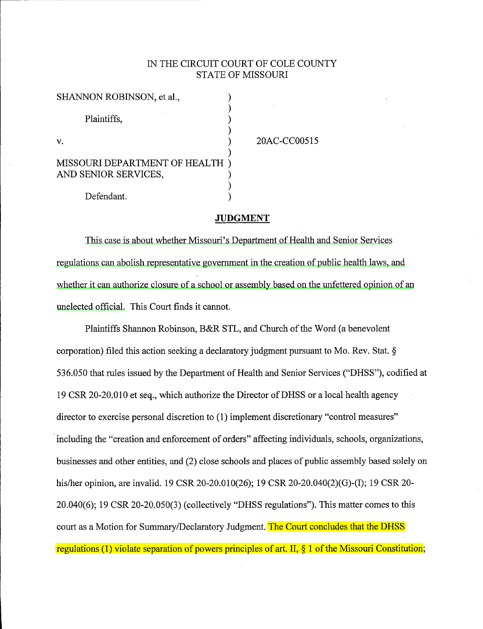## IN THE CIRCUIT COURT OF COLE COUNTY STATE OF MISSOURI

| SHANNON ROBINSON, et al.,                             |  |
|-------------------------------------------------------|--|
| Plaintiffs,                                           |  |
| $\mathbf{V}$ .                                        |  |
| MISSOURI DEPARTMENT OF HEALTH<br>AND SENIOR SERVICES, |  |
| Defendant.                                            |  |

20AC-CC00515

#### **JUDGMENT**

This case is about whether Missouri's Department of Health and Senior Services regulations can abolish representative government in the creation of public health laws, and whether it can authorize closure of a school or assembly based on the unfettered opinion of an unelected official. This Court finds it cannot.

Plaintiffs Shannon Robinson, B&R STL, and Church of the Word (a benevolent corporation) filed this action seeking a declaratory judgment pursuant to Mo. Rev. Stat. § 536.050 that rules issued by the Department of Health and Senior Services ("DHSS"), codified at 19 CSR 20-20.010 et seq., which authorize the Director of DHSS or a local health agency director to exercise personal discretion to (1) implement discretionary "control measures" including the "creation and enforcement of orders" affecting individuals, schools, organizations, businesses and other entities, and (2) close schools and places of public assembly based solely on his/her opinion, are invalid. 19 CSR 20-20.010(26); 19 CSR 20-20.040(2)(G)-(I); 19 CSR 20- 20.040(6); 19 CSR 20-20.050(3) (collectively "DHSS regulations"). This matter comes to this court as a Motion for Summary/Declaratory Judgment. The Court concludes that the DHSS regulations. (1) violate separation of powers principles of art. II, § 1 of the Missouri Constitution;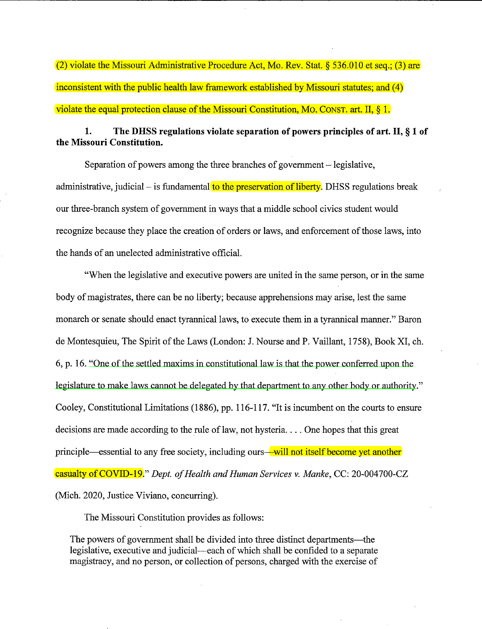(2) violate the Missouri Administrative Procedure Act, Mo. Rev. Stat. § 536.010 et seq.; (3) are inconsistent with the public health law framework established by Missouri statutes; and (4) violate the equal protection clause of the Missouri Constitution, Mo. CONST. art. II, § 1.

## **1. The DHSS regulations violate separation of powers principles of art.** II, § **1 of the Missouri Constitution.**

Separation of powers among the three branches of government – legislative, administrative, judicial – is fundamental to the preservation of liberty. DHSS regulations break our three-branch system of government in ways that a middle school civics student would recognize because they place the creation of orders or laws, and enforcement of those laws, into the hands of an unelected administrative official.

"When the legislative and executive powers are united in the same person, or in the same body of magistrates, there can be no liberty; because apprehensions may arise, lest the same monarch or senate should enact tyrannical laws, to execute them in a tyrannical manner." Baron de Montesquieu, The Spirit of the Laws (London: J. Nourse and P. Vaillant, 1758), Book XI, ch. 6, p. 16. "One of the settled maxims in constitutional law is that the power conferred upon the legislature to make laws cannot be delegated by that department to any other body or authority." Cooley, Constitutional Limitations (1886), pp. 116-117. "It is incumbent on the courts to ensure decisions are made according to the rule of law, not hysteria... One hopes that this great principle—essential to any free society, including ours—will not itself become yet another **casualty of COVID-19.**" *Dept. of Health and Human Services v. Manke, CC: 20-004700-CZ* (Mich. 2020, Justice Viviano, concurring).

The Missouri Constitution provides as follows:

The powers of government shall be divided into three distinct departments—the legislative, executive and judicial—each of which shall be confided to a separate magistracy, and no person, or collection of persons, charged with the exercise of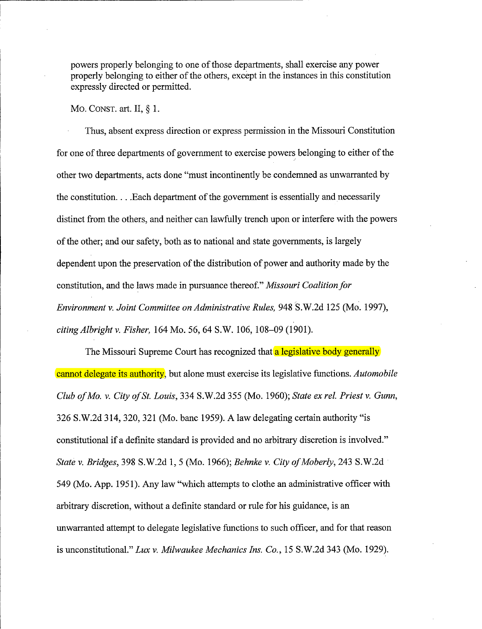powers properly belonging to one of those departments, shall exercise any power properly belonging to either of the others, except in the instances in this constitution expressly directed or permitted.

Mo. CONST. art. II, § 1.

Thus, absent express direction or express permission in the Missouri Constitution for one of three departments of government to exercise powers belonging to either of the other two departments, acts done "must incontinently be condemned as unwarranted by the constitution. . . . Each department of the government is essentially and necessarily distinct from the others, and neither can lawfully trench upon or interfere with the powers of the other; and our safety, both as to national and state governments, is largely dependent upon the preservation of the distribution of power and authority made by the constitution, and the laws made in pursuance thereof." *Missouri Coalition for Environment v. Joint Committee on Administrative Rules,* 948 S.W.2d 125 (Mo. 1997), *citing Albright v. Fisher,* 164 Mo. 56, 64 S.W. 106, 108-09 (1901).

The Missouri Supreme Court has recognized that a legislative body generally cannot delegate its authority, but alone must exercise its legislative functions. *Automobile Club of Mo. v. City of St. Louis,* 334 S. W.2d 355 (Mo. 1960); *State ex rel. Priest v. Gunn,*  326 S.W.2d 314, 320, 321 (Mo. bane 1959). A law delegating certain authority "is constitutional if a definite standard is provided and no arbitrary discretion is involved." *State v. Bridges,* 398 S.W.2d 1, 5 (Mo. 1966); *Behnke v. City of Moberly,* 243 S.W.2d · 549 (Mo. App. 1951). Any law "which attempts to clothe an administrative officer with arbitrary discretion, without a definite standard or rule for his guidance, is an unwarranted attempt to delegate legislative functions to such officer, and for that reason is unconstitutional." *Lux v. Milwaukee Mechanics Ins. Co.,* 15 S.W.2d 343 (Mo. 1929).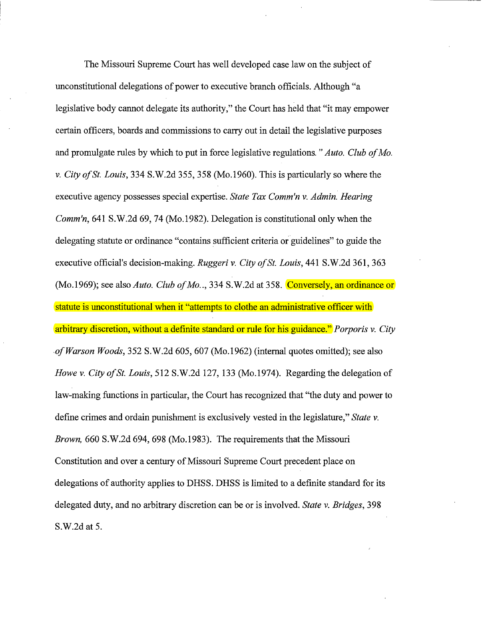The Missouri Supreme Court has well developed case law on the subject of unconstitutional delegations of power to executive branch officials. Although "a legislative body cannot delegate its authority," the Court has held that "it may empower certain officers, boards and commissions to carry out in detail the legislative purposes and promulgate rules by which to put in force legislative regulations. *"Auto. Club of Mo. v. City of St. Louis,* 334 S.W.2d 355, 358 (Mo.1960). This is particularly so where the executive agency possesses special expertise. *State Tax Comm'n v. Admin. Hearing Comm'n,* 641 S.W.2d 69, 74 (Mo.1982). Delegation is constitutional only when the delegating statute or ordinance "contains sufficient criteria or guidelines" to guide the executive official's decision-making. *Ruggeri v. City of St. Louis,* **441** S.W.2d 361, 363 (Mo.1969); see also *Auto. Club of Mo.*., 334 S.W.2d at 358. Conversely, an ordinance or statute is unconstitutional when it "attempts to clothe an administrative officer with arbitrary discretion, without a definite standard or rule for his guidance." *Porporis v. City ,of Warson Woods,* 352 S.W.2d 605, 607 (Mo.1962) (internal quotes omitted); see also *Howe v. City of* St. *Louis,* 512 S.W.2d 127, 133 (Mo.1974). Regarding the delegation of law-making functions in particular, the Court has recognized that "the duty and power to define crimes and ordain punishment is exclusively vested in the legislature," *State v. Brown,* 660 S.W.2d 694, 698 (Mo.1983). The requirements that the Missouri Constitution and over a century of Missouri Supreme Court precedent place on delegations of authority applies to DHSS. DHSS is limited to a definite standard for its delegated duty, and no arbitrary discretion can be or is involved. *State v. Bridges,* 398 S.W.2d at 5.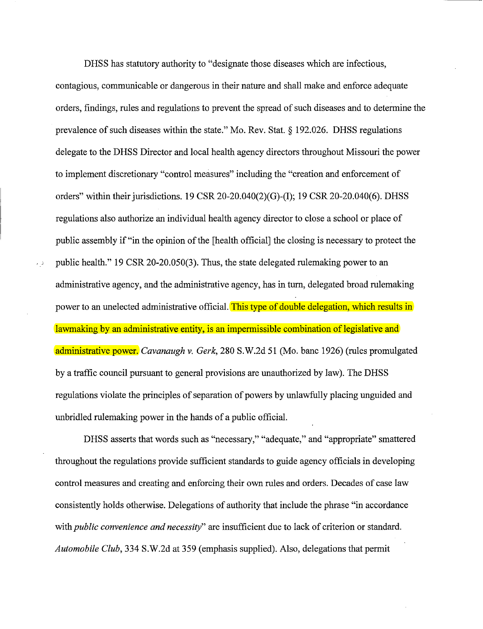DHSS has statutory authority to "designate those diseases which are infectious, contagious, communicable or dangerous in their nature and shall make and enforce adequate orders, findings, rules and regulations to prevent the spread of such diseases and to determine the prevalence of such diseases within the state." Mo. Rev. Stat.§ 192.026. DHSS regulations delegate to the DHSS Director and local health agency directors throughout Missouri the power to implement discretionary "control measures" including the "creation and enforcement of orders" within their jurisdictions. 19 CSR 20-20.040(2)(G)-(I); 19 CSR 20-20.040(6). DHSS regulations also authorize an individual health agency director to close a school or place of public assembly if "in the opinion of the [health official] the closing is necessary to protect the  $\rightarrow$  public health." 19 CSR 20-20.050(3). Thus, the state delegated rulemaking power to an administrative agency, and the administrative agency, has in tum, delegated broad rulemaking power to an unelected administrative official. This type of double delegation, which results in lawmaking by an administrative entity, is an impermissible combination of legislative and administrative power. *Cavanaugh v. Gerk,* 280 S.W.2d 51 (Mo. bane 1926) (rules promulgated by a traffic council pursuant to general provisions are unauthorized by law). The DHSS regulations violate the principles of separation of powers by unlawfully placing unguided and unbridled ruleniaking power in the hands of a public official.

DHSS asserts that words such as "necessary," "adequate," and "appropriate" smattered throughout the regulations provide sufficient standards to guide agency officials in developing control measures and creating and enforcing their own rules and orders. Decades of case law consistently holds otherwise. Delegations of authority that include the phrase "in accordance with *public convenience and necessity"* are insufficient due to lack of criterion or standard. *Automobile Club,* 334 S.W.2d at 359 (emphasis supplied). Also, delegations that permit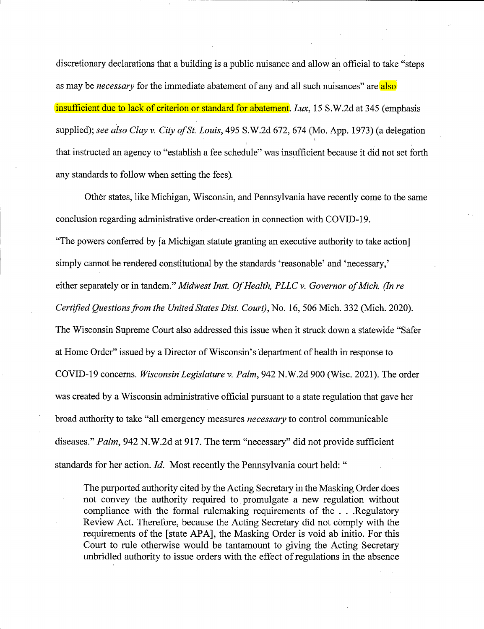discretionary declarations that a building is a public nuisance and allow an official to take "steps as may be *necessary* for the immediate abatement of any and all such nuisances" are also insufficient due to lack of criterion or standard for abatement. *Lux,* 15 S.W.2d at 345 (emphasis supplied); *see also Clay v. City of St. Louis,* 495 S.W.2d 672, 674 (Mo. App. 1973) (a delegation that instructed an agency to "establish a fee schedule" was insufficient because it did not set forth any standards to follow when setting the fees).

Other states, like Michigan, Wisconsin, and Pennsylvania have recently come to the same conclusion regarding administrative order-creation in connection with COVID-19. "The powers conferred by [a Michigan statute granting an executive authority to take action] simply cannot be rendered constitutional by the standards 'reasonable' and 'necessary,' either separately or in tandem." *Midwest Inst. Of Health, PLLC v. Governor of Mich. (In re Certified Questions.from the United States Dist. Court),* No. 16, 506 Mich. 332 (Mich. 2020). The Wisconsin Supreme Court also addressed this issue when it struck down a statewide "Safer at Home Order" issued by a Director of Wisconsin's department of health in response to COVID-19 concerns. *Wisconsin Legislature v. Palm,* 942 N.W.2d 900 (Wisc. 2021). The order was created by a Wisconsin administrative official pursuant to a state regulation that gave her broad authority to take "all emergency measures *necessary* to control communicable diseases." *Palm,* 942 N.W.2d at 917. The term "necessary" did not provide sufficient standards for her action. *Id.* Most recently the Pennsylvania court held: "

The purported authority cited by the Acting Secretary in the Masking Order does not convey the authority required to promulgate a new regulation without compliance with the formal rulemaking requirements of the . . .Regulatory Review Act. Therefore, because the Acting Secretary did not comply with the requirements of the [state APA], the Masking Order is void ab initio. For this Court to rule otherwise would be tantamount to giving the Acting Secretary unbridled authority to issue orders with the effect of regulations in the absence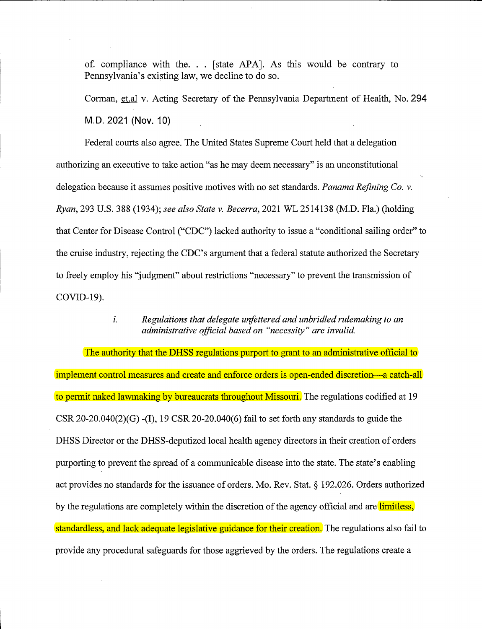of. compliance with the. . . [state APA]. As this would be contrary to Pennsylvania's existing law, we decline to do so.

Corman, et.al v. Acting Secretary of the Pennsylvania Department of Health, No. **294 M.D. 2021 (Nov. 10)** 

Federal courts also agree. The United States Supreme Court held that a delegation authorizing an executive to take action "as he may deem necessary" is an unconstitutional delegation because it assumes positive motives with no set standards. *Panama Refining Co. v. Ryan,* 293 U.S. 388 (1934); *see also State v. Becerra,* 2021 WL 2514138 (M.D. Fla.) (holding that Center for Disease Control ("CDC") lacked authority to issue a "conditional sailing order" to the cruise industry, rejecting the CDC's argument that a federal statute authorized the Secretary to freely employ his "judgment" about restrictions "necessary" to prevent the transmission of COVID-19).

#### *i. Regulations that delegate unfettered and unbridled rulemaking to an administrative official based on "necessity" are invalid.*

The authority that the DHSS regulations purport to grant to an administrative official to implement control measures and create and enforce orders is open-ended discretion—a catch-all to permit naked lawmaking by bureaucrats throughout Missouri. The regulations codified at 19 CSR 20-20.040(2)(G) -(I), 19 CSR 20-20.040(6) fail to set forth any standards to guide the DHSS Director or the DHSS-deputized local health agency directors in their creation of orders purporting to prevent the spread of a communicable disease into the state. The state's enabling act provides no standards for the issuance of orders. Mo. Rev. Stat.§ 192.026. Orders authorized by the regulations are completely within the discretion of the agency official and are limitless, standardless, and lack adequate legislative guidance for their creation. The regulations also fail to provide any procedural safeguards for those aggrieved by the orders. The regulations create a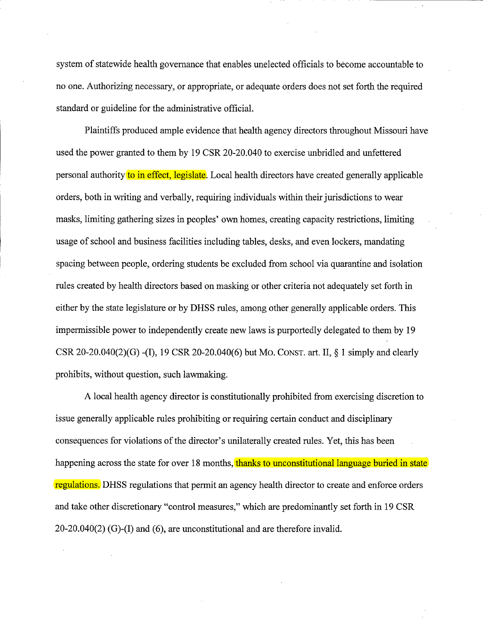system of statewide health governance that enables unelected officials to become accountable to no one. Authorizing necessary, or appropriate, or adequate orders does not set forth the required standard or guideline for the administrative official.

Plaintiffs produced ample evidence that health agency directors throughout Missouri have used the power granted to them by 19 CSR 20-20.040 to exercise unbridled and unfettered personal authority to in effect, legislate. Local health directors have created generally applicable orders, both in writing and verbally, requiring individuals within their jurisdictions to wear masks, limiting gathering sizes in peoples' own homes, creating capacity restrictions, limiting usage of school and business facilities including tables, desks, and even lockers, mandating spacing between people, ordering students be excluded from school via quarantine and isolation rules created by health directors based on masking or other criteria not adequately set forth in either by the state legislature or by DHSS rules, among other generally applicable orders. This impermissible power to independently create new laws is purportedly delegated to them by 19 CSR 20-20.040(2)(G) -(I), 19 CSR 20-20.040(6) but Mo. CONST. art. II,  $\S$  1 simply and clearly prohibits, without question, such lawmaking.

A local health agency director is constitutionally prohibited from exercising discretion to issue generally applicable rules prohibiting or requiring certain conduct and disciplinary consequences for violations of the director's unilaterally created rules. Yet, this has been happening across the state for over 18 months, thanks to unconstitutional language buried in state regulations. DHSS regulations that permit an agency health director to create and enforce orders and take other discretionary "control measures," which are predominantly set forth in 19 CSR 20-20.040(2) (G)-(1) and (6), are unconstitutional and are therefore invalid.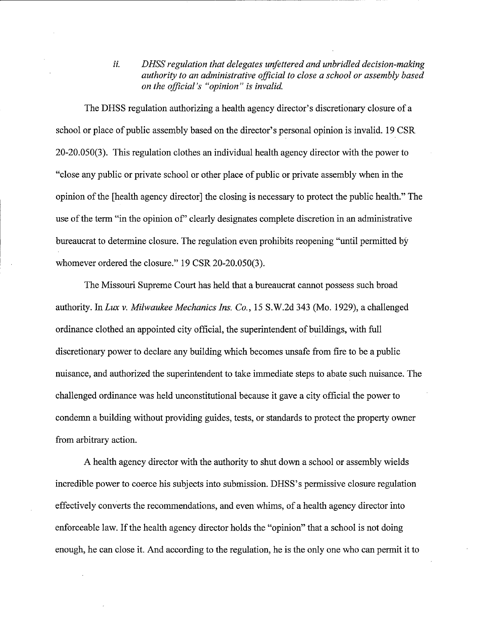*ii. DHSS regulation that delegates unfettered and unbridled decision-making authority to an administrative official to close a school or assembly based on the official's "opinion" is invalid.* 

The DHSS regulation authorizing a health agency director's discretionary closure of a school or place of public assembly based on the director's personal opinion is invalid. 19 CSR 20-20.050(3). This regulation clothes an individual health agency director with the power to "close any public or private school or other place of public or private assembly when in the opinion of the [health agency director] the closing is necessary to protect the public health." The use of the term "in the opinion of" clearly designates complete discretion in an administrative bureaucrat to determine closure. The regulation even prohibits reopening "until permitted by whomever ordered the closure." 19 CSR 20-20.050(3).

The Missouri Supreme Court has held that a bureaucrat cannot possess such broad authority. In *Lux v. Milwaukee Mechanics Ins. Co.,* 15 S. W.2d 343 (Mo. 1929), a challenged ordinance clothed an appointed city official, the superintendent of buildings, with full discretionary power to declare any building which becomes unsafe from fire to be a public nuisance, and authorized the superintendent to take immediate steps to abate such nuisance. The challenged ordinance was held unconstitutional because it gave a city official the power to condemn a building without providing guides, tests, or standards to protect the property owner from arbitrary action.

A health agency director with the authority to shut down a school or assembly wields incredible power to coerce his subjects into submission. DHSS's permissive closure regulation effectively converts the recommendations, and even whims, of a health agency director into enforceable law. If the health agency director holds the "opinion" that a school is not doing enough, he can close it. And according to the regulation, he is the only one who can permit it to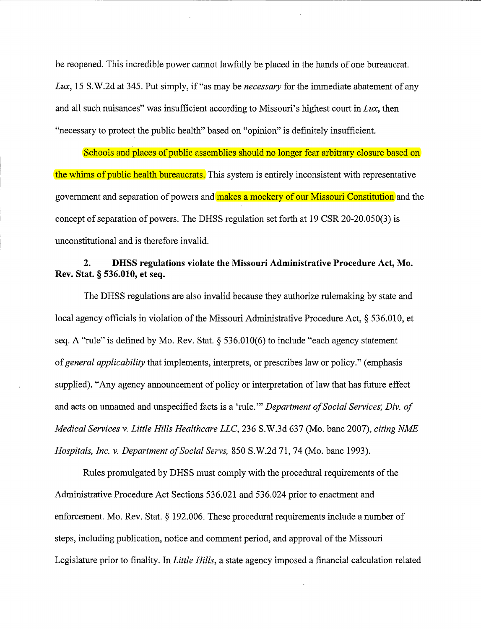be reopened. This incredible power cannot lawfully be placed in the hands of one bureaucrat. Lux, 15 S.W.2d at 345. Put simply, if "as may be *necessary* for the immediate abatement of any and all such nuisances" was insufficient according to Missouri's highest court in *Lux,* then "necessary to protect the public health" based on "opinion" is definitely insufficient.

Schools and places of public assemblies should no longer fear arbitrary closure based on the whims of public health bureaucrats. This system is entirely inconsistent with representative government and separation of powers and makes a mockery of our Missouri Constitution and the concept of separation of powers. The DHSS regulation set forth at 19 CSR 20-20.050(3) is unconstitutional and is therefore invalid.

### **2. DHSS regulations violate the Missouri Administrative Procedure Act, Mo. Rev. Stat.§ 536.010, et seq.**

The DHSS regulations are also invalid because they authorize rulemaking by state and local agency officials in violation of the Missouri Administrative Procedure Act,§ 536.010, et seq. A "rule" is defined by Mo. Rev. Stat.  $\S$  536.010(6) to include "each agency statement of *general applicability* that implements, interprets, or prescribes law or policy." (emphasis supplied). "Any agency announcement of policy or interpretation of law that has future effect and acts on unnamed and unspecified facts is a 'rule."' *Department of Social Services; Div. of Medical Services v. Little Hills Healthcare LLC,* 236 S.W.3d 637 (Mo. bane 2007), *citing NME Hospitals, Inc. v. Department of Social Servs,* 850 S.W.2d 71, 74 (Mo. bane 1993).

Rules promulgated by DHSS must comply with the procedural requirements of the Administrative Procedure Act Sections 536.021 and 536.024 prior to enactment and enforcement. Mo. Rev. Stat. § 192.006. These procedural requirements include a number of steps, including publication, notice and comment period, and approval of the Missouri Legislature prior to finality. In *Little Hills,* a state agency imposed a financial calculation related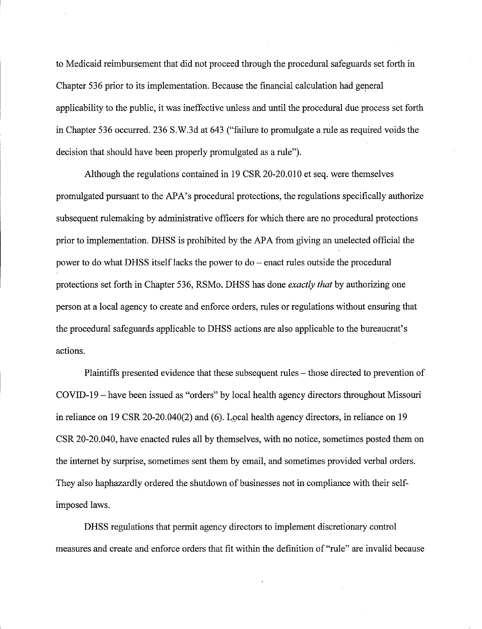to Medicaid reimbursement that did not proceed through the procedural safeguards set forth in Chapter 536 prior to its implementation. Because the financial calculation had general applicability to the public, it was ineffective unless and until the procedural due process set forth in Chapter 536 occurred. 236 S.W.3d at 643 ("failure to promulgate a rule as required voids the decision that should have been properly promulgated as a rule").

Although the regulations contained in 19 CSR 20-20.010 et seq. were themselves promulgated pursuant to the APA's procedural protections, the regulations specifically authorize subsequent rulemaking by administrative officers for which there are no procedural protections prior to implementation. DHSS is prohibited by the APA from giving an unelected official the power to do what DHSS itself lacks the power to  $do$  – enact rules outside the procedural protections set forth in Chapter 536, RSMo. DHSS has done *exactly that* by authorizing one person at a local agency to create and enforce orders, rules or regulations without ensuring that the procedural safeguards applicable to DHSS actions are also applicable to the bureaucrat's actions.

Plaintiffs presented evidence that these subsequent rules – those directed to prevention of COVID-19-have been issued as "orders" by local health agency directors throughout Missouri in reliance on  $19 \text{CSR } 20-20.040(2)$  and (6). Local health agency directors, in reliance on  $19$ CSR 20-20.040, have enacted rules all by themselves, with no notice, sometimes posted them on the internet by surprise, sometimes sent them by email, and sometimes provided verbal orders. They also haphazardly ordered the shutdown of businesses not in compliance with their selfimposed laws.

DHSS regulations that permit agency directors to implement discretionary control measures and create and enforce orders that fit within the definition of "rule" are invalid because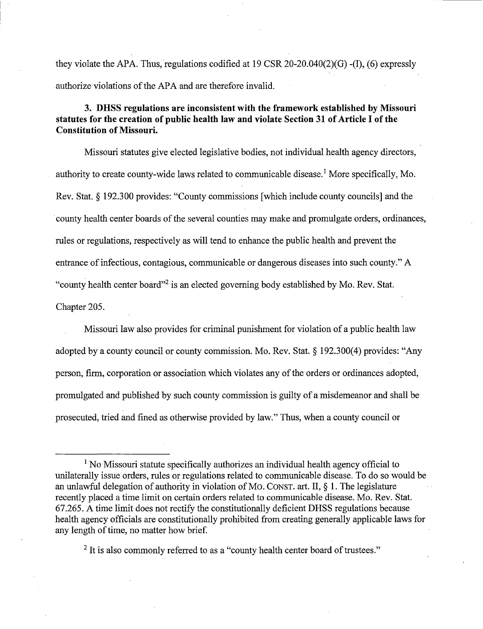they violate the APA. Thus, regulations codified at 19 CSR 20-20.040(2)(G) -(I), (6) expressly authorize violations of the APA and are therefore invalid.

## **3. DHSS regulations are inconsistent with the framework established by Missouri statutes for the creation of public health law and violate Section 31 of Article I of the Constitution of Missouri.**

Missouri statutes give elected legislative bodies, not individual health agency directors, authority to create county-wide laws related to communicable disease.<sup>1</sup> More specifically, Mo. Rev. Stat.§ 192.300 provides: "County commissions [which include county councils] and the county health center boards of the several counties may make and promulgate orders, ordinances, rules or regulations, respectively as will tend to enhance the public health and prevent the entrance of infectious, contagious, communicable or dangerous diseases into such county." A "county health center board"2 is an elected governing body established by Mo. Rev. Stat. Chapter 205.

Missouri law also provides for criminal punishment for violation of a public health law adopted by a county council or county commission. Mo. Rev. Stat. § 192.300(4) provides: "Any person, firm, corporation or association which violates any of the orders or ordinances adopted, promulgated and published by such county commission is guilty of a misdemeanor and shall be prosecuted, tried and fined as otherwise provided by law." Thus, when a county council or

<sup>2</sup> It is also commonly referred to as a "county health center board of trustees."

<sup>&</sup>lt;sup>1</sup> No Missouri statute specifically authorizes an individual health agency official to unilaterally issue orders, rules or regulations related to communicable disease. To do so would be an unlawful delegation of authority in violation of Mo. CONST. art. II,§ 1. The legislature recently placed a time limit on certain orders related to communicable disease. Mo. Rev. Stat. 67.265. A time limit does not rectify the constitutionally deficient DHSS regulations because health agency officials are constitutionally prohibited from creating generally applicable laws for any length of time, no matter how brief.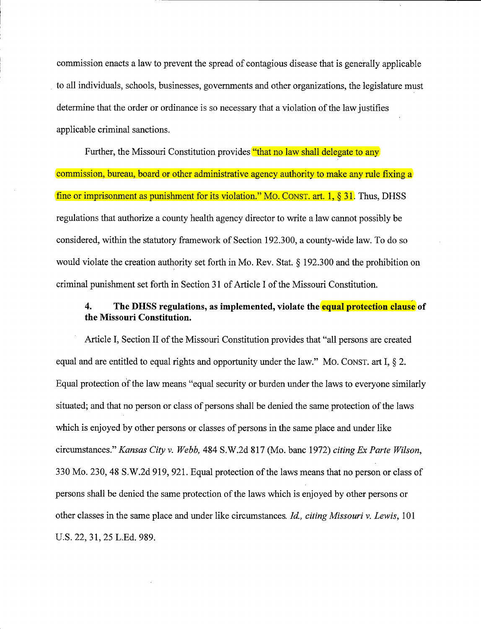commission enacts a law to prevent the spread of contagious disease that is generally applicable to all individuals, schools, businesses, governments and other organizations, the legislature must determine that the order or ordinance is so necessary that a violation of the law justifies applicable criminal sanctions.

Further, the Missouri Constitution provides "that no law shall delegate to any commission, bureau, board or other administrative agency authority to make any rule fixing a fine or imprisonment as punishment for its violation." MO. CONST. art. 1, § 31. Thus, DHSS regulations that authorize a county health agency director to write a law cannot possibly be considered, within the statutory framework of Section 192.300, a county-wide law. To do so would violate the creation authority set forth in Mo. Rev. Stat. § 192.300 and the prohibition on criminal punishment set forth in Section 31 of Article I of the Missouri Constitution.

# , **4. The DHSS regulations, as implemented, violate the equal protection clause of the Missouri Constitution.**

Article I, Section II of the Missouri Constitution provides that "all persons are created equal and are entitled to equal rights and opportunity under the law." Mo. CONST. art I,  $\S$  2. Equal protection of the law means "equal security or burden under the laws to everyone similarly situated; and that no person or class of persons shall be denied the same protection of the laws which is enjoyed by other persons or classes of persons in the same place and under like circumstances." *Kansas City v. Webb,* 484 S.W.2d 817 (Mo. bane 1972) *citing Ex Parte Wilson,*  330 Mo. 230, 48 S.W.2d 919, 921. Equal protection of the laws means that no person or class of persons shall be denied the same protection of the laws which is enjoyed by other persons or other classes in the same place and under like circumstances. *Id., citing Missouri v. Lewis,* 101 U.S. 22, 31, 25 L.Ed. 989.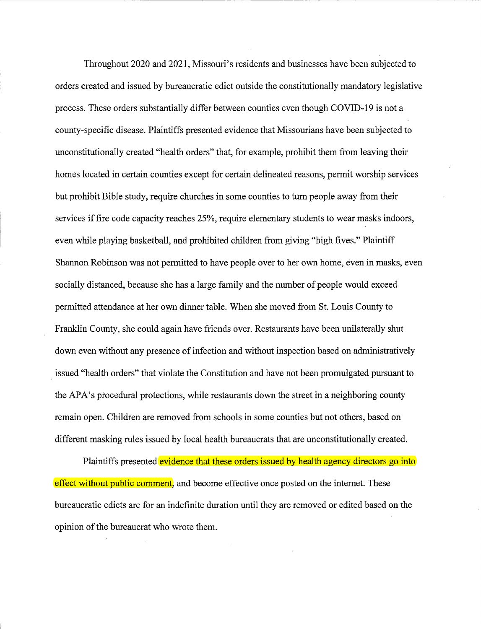Throughout 2020 and 2021, Missouri's residents and businesses have been subjected to orders created and issued by bureaucratic edict outside the constitutionally mandatory legislative process. These orders substantially differ between counties even though COVID-19 is not a county-specific disease. Plaintiffs presented evidence that Missourians have been subjected to unconstitutionally created "health orders" that, for example, prohibit them from leaving their homes located in certain counties except for certain delineated reasons, permit worship services but prohibit Bible study, require churches in some counties to tum people away from their services if fire code capacity reaches 25%, require elementary students to wear masks indoors, even while playing basketball, and prohibited children from giving "high fives." Plaintiff Shannon Robinson was not permitted to have people over to her own home, even in masks, even socially distanced, because she has a large family and the number of people would exceed permitted attendance at her own dinner table. When she moved from St. Louis County to Franklin County, she could again have friends over. Restaurants have been unilaterally shut down even without any presence of infection and without inspection based on administratively . issued "health orders" that violate the Constitution and have not been promulgated pursuant to the APA's procedural protections, while restaurants down the street in a neighboring county remain open. Children are removed from schools in some counties but not others, based on different masking rules issued by local health bureaucrats that are unconstitutionally created.

Plaintiffs presented evidence that these orders issued by health agency directors go into effect without public comment, and become effective once posted on the internet. These bureaucratic edicts are for an indefinite duration until they are removed or edited based on the opinion of the bureaucrat who wrote them.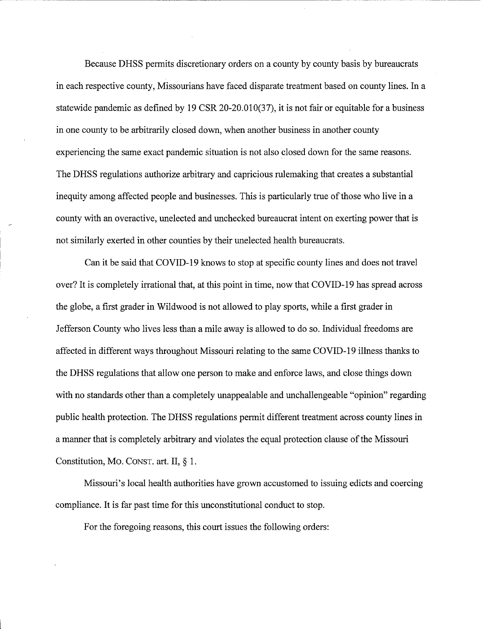Because DHSS permits discretionary orders on a county by county basis by bureaucrats in each respective county, Missourians have faced disparate treatment based on county lines. In a statewide pandemic as defined by 19 CSR 20-20.010(37), it is not fair or equitable for a business in one county to be arbitrarily closed down, when another business in another county experiencing the same exact pandemic situation is not also closed down for the same reasons. The DHSS regulations authorize arbitrary and capricious rulemaking that creates a substantial inequity among affected people and businesses. This is particularly true of those who live in a county with an overactive, unelected and unchecked bureaucrat intent on exerting power that is not similarly exerted in other counties by their unelected health bureaucrats.

Can it be said that COVID-19 knows to stop at specific county lines and does not travel over? It is completely irrational that, at this point in time, now that COVID-19 has spread across the globe, a first grader in Wildwood is not allowed to play sports, while a first grader in Jefferson County who lives less than a mile away is allowed to do so. Individual freedoms are affected in different ways throughout Missouri relating to the same COVID-19 illness thanks to the DHSS regulations that allow one person to make and enforce laws, and close things down with no standards other than a completely unappealable and unchallengeable "opinion" regarding public health protection. The DHSS regulations permit different treatment across county lines in a manner that is completely arbitrary and violates the equal protection clause of the Missouri Constitution, Mo. CONST. art. II, § 1.

Missouri's local health authorities have grown accustomed to issuing edicts and coercing compliance. It is far past time for this unconstitutional conduct to stop.

For the foregoing reasons, this court issues the following orders: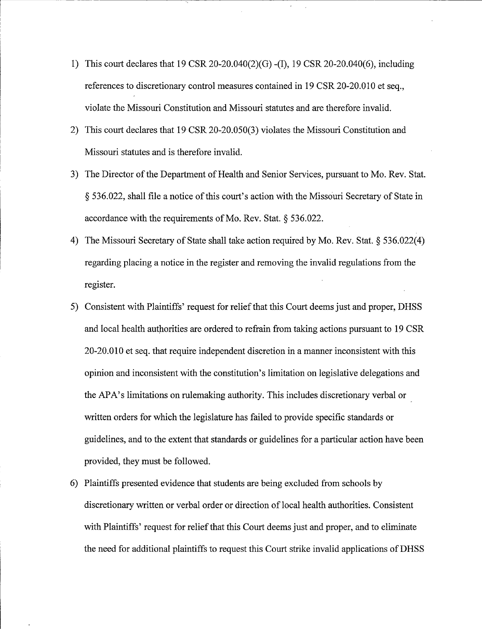- 1) This court declares that 19 CSR 20-20.040(2)(G) -(I), 19 CSR 20-20.040(6), including references to discretionary control measures contained in 19 CSR 20-20.010 et seq., violate the Missouri Constitution and Missouri statutes and are therefore invalid.
- 2) This court declares that 19 CSR 20-20.050(3) violates the Missouri Constitution and Missouri statutes and is therefore invalid.
- 3) The Director of the Department of Health and Senior Services, pursuant to Mo. Rev. Stat. § 536.022, shall file a notice of this court's action with the Missouri Secretary of State in accordance with the requirements of Mo. Rev. Stat. § 536.022.
- 4) The Missouri Secretary of State shall take action required by Mo. Rev. Stat.§ 536.022(4) regarding placing a notice in the register and removing the invalid regulations from the register.
- 5) Consistent with Plaintiffs' request for relief that this Court deems just and proper, DHSS and local health authorities are ordered to refrain from taking actions pursuant to 19 CSR 20-20.010 et seq. that require independent discretion in a manner inconsistent with this opinion and inconsistent with the constitution's limitation on legislative delegations and the APA's limitations on rulemaking authority. This includes discretionary verbal or written orders for which the legislature has failed to provide specific standards or guidelines, and to the extent that standards or guidelines for a particular action have been provided, they must be followed.
- 6) Plaintiffs presented evidence that students are being excluded from schools by discretionary written or verbal order or direction of local health authorities. Consistent with Plaintiffs' request for relief that this Court deems just and proper, and to eliminate the need for additional plaintiffs to request this Court strike invalid applications ofDHSS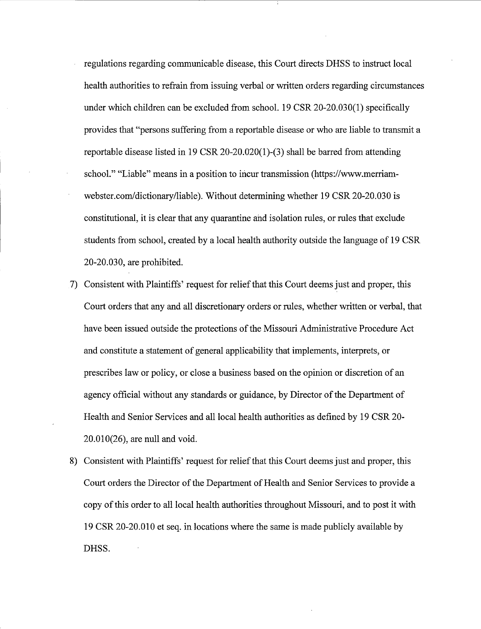- regulations regarding communicable disease, this Court directs DHSS to instruct local health authorities to refrain from issuing verbal or written orders regarding circumstances under which children can be excluded from school. 19 CSR 20-20.030(1) specifically provides that "persons suffering from a reportable disease or who are liable to transmit a reportable disease listed in 19 CSR 20-20.020(1)-(3) shall be barred from attending school." "Liable" means in a position to incur transmission (https://www.merriamwebster.com/dictionary/liable). Without determining whether 19 CSR 20-20.030 is constitutional, it is clear that any quarantine and isolation rules, or rules that exclude students from school, created by a local health authority outside the language of 19 CSR 20-20.030, are prohibited.
- 7) Consistent with Plaintiffs' request for relief that this Court deems just and proper, this Court orders that any and all discretionary orders or rules, whether written or verbal, that have been issued outside the protections of the Missouri Administrative Procedure Act and constitute a statement of general applicability that implements, interprets, or prescribes law or policy, or close a business based on the opinion or discretion of an agency official without any standards or guidance, by Director of the Department of Health and Senior Services and all local health authorities as defined by 19 CSR 20- 20.010(26), are null and void.
- 8) Consistent with Plaintiffs' request for relief that this Court deems just and proper, this Court orders the Director of the Department of Health and Senior Services to provide a copy of this order to all local health authorities throughout Missouri, and to post it with 19 CSR 20-20.010 et seq. in locations where the same is made publicly available by DHSS.